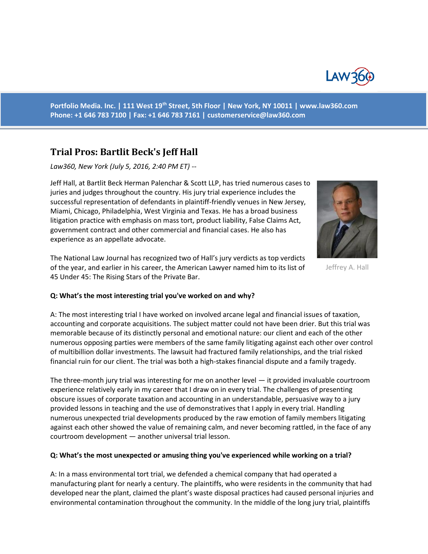

**Portfolio Media. Inc. | 111 West 19th Street, 5th Floor | New York, NY 10011 | www.law360.com Phone: +1 646 783 7100 | Fax: +1 646 783 7161 | [customerservice@law360.com](mailto:customerservice@law360.com)**

# **Trial Pros: Bartlit Beck's Jeff Hall**

*Law360, New York (July 5, 2016, 2:40 PM ET) --*

Jeff Hall, at Bartlit Beck Herman Palenchar & Scott LLP, has tried numerous cases to juries and judges throughout the country. His jury trial experience includes the successful representation of defendants in plaintiff-friendly venues in New Jersey, Miami, Chicago, Philadelphia, West Virginia and Texas. He has a broad business litigation practice with emphasis on mass tort, product liability, False Claims Act, government contract and other commercial and financial cases. He also has experience as an appellate advocate.

The National Law Journal has recognized two of Hall's jury verdicts as top verdicts of the year, and earlier in his career, the American Lawyer named him to its list of 45 Under 45: The Rising Stars of the Private Bar.



A: The most interesting trial I have worked on involved arcane legal and financial issues of taxation, accounting and corporate acquisitions. The subject matter could not have been drier. But this trial was memorable because of its distinctly personal and emotional nature: our client and each of the other numerous opposing parties were members of the same family litigating against each other over control of multibillion dollar investments. The lawsuit had fractured family relationships, and the trial risked financial ruin for our client. The trial was both a high-stakes financial dispute and a family tragedy.

The three-month jury trial was interesting for me on another level — it provided invaluable courtroom experience relatively early in my career that I draw on in every trial. The challenges of presenting obscure issues of corporate taxation and accounting in an understandable, persuasive way to a jury provided lessons in teaching and the use of demonstratives that I apply in every trial. Handling numerous unexpected trial developments produced by the raw emotion of family members litigating against each other showed the value of remaining calm, and never becoming rattled, in the face of any courtroom development — another universal trial lesson.

#### **Q: What's the most unexpected or amusing thing you've experienced while working on a trial?**

A: In a mass environmental tort trial, we defended a chemical company that had operated a manufacturing plant for nearly a century. The plaintiffs, who were residents in the community that had developed near the plant, claimed the plant's waste disposal practices had caused personal injuries and environmental contamination throughout the community. In the middle of the long jury trial, plaintiffs



Jeffrey A. Hall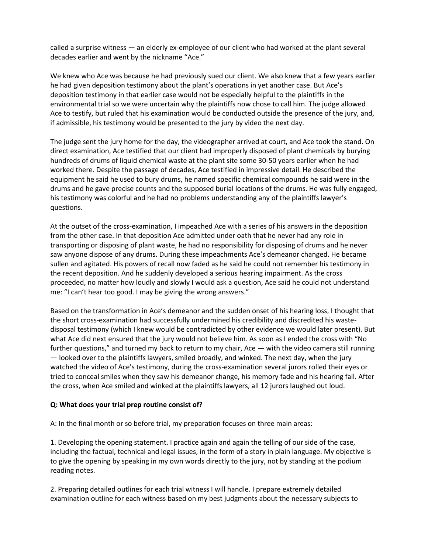called a surprise witness — an elderly ex-employee of our client who had worked at the plant several decades earlier and went by the nickname "Ace."

We knew who Ace was because he had previously sued our client. We also knew that a few years earlier he had given deposition testimony about the plant's operations in yet another case. But Ace's deposition testimony in that earlier case would not be especially helpful to the plaintiffs in the environmental trial so we were uncertain why the plaintiffs now chose to call him. The judge allowed Ace to testify, but ruled that his examination would be conducted outside the presence of the jury, and, if admissible, his testimony would be presented to the jury by video the next day.

The judge sent the jury home for the day, the videographer arrived at court, and Ace took the stand. On direct examination, Ace testified that our client had improperly disposed of plant chemicals by burying hundreds of drums of liquid chemical waste at the plant site some 30-50 years earlier when he had worked there. Despite the passage of decades, Ace testified in impressive detail. He described the equipment he said he used to bury drums, he named specific chemical compounds he said were in the drums and he gave precise counts and the supposed burial locations of the drums. He was fully engaged, his testimony was colorful and he had no problems understanding any of the plaintiffs lawyer's questions.

At the outset of the cross-examination, I impeached Ace with a series of his answers in the deposition from the other case. In that deposition Ace admitted under oath that he never had any role in transporting or disposing of plant waste, he had no responsibility for disposing of drums and he never saw anyone dispose of any drums. During these impeachments Ace's demeanor changed. He became sullen and agitated. His powers of recall now faded as he said he could not remember his testimony in the recent deposition. And he suddenly developed a serious hearing impairment. As the cross proceeded, no matter how loudly and slowly I would ask a question, Ace said he could not understand me: "I can't hear too good. I may be giving the wrong answers."

Based on the transformation in Ace's demeanor and the sudden onset of his hearing loss, I thought that the short cross-examination had successfully undermined his credibility and discredited his wastedisposal testimony (which I knew would be contradicted by other evidence we would later present). But what Ace did next ensured that the jury would not believe him. As soon as I ended the cross with "No further questions," and turned my back to return to my chair, Ace — with the video camera still running — looked over to the plaintiffs lawyers, smiled broadly, and winked. The next day, when the jury watched the video of Ace's testimony, during the cross-examination several jurors rolled their eyes or tried to conceal smiles when they saw his demeanor change, his memory fade and his hearing fail. After the cross, when Ace smiled and winked at the plaintiffs lawyers, all 12 jurors laughed out loud.

### **Q: What does your trial prep routine consist of?**

A: In the final month or so before trial, my preparation focuses on three main areas:

1. Developing the opening statement. I practice again and again the telling of our side of the case, including the factual, technical and legal issues, in the form of a story in plain language. My objective is to give the opening by speaking in my own words directly to the jury, not by standing at the podium reading notes.

2. Preparing detailed outlines for each trial witness I will handle. I prepare extremely detailed examination outline for each witness based on my best judgments about the necessary subjects to